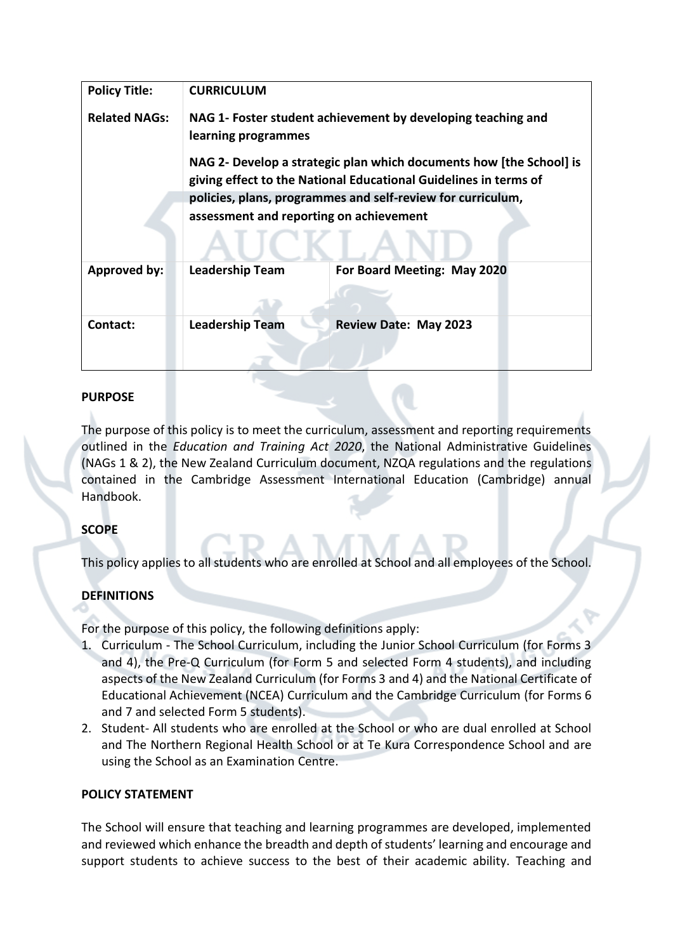| <b>Policy Title:</b> | <b>CURRICULUM</b>                                                                                                                                                                                                                                                                                                                        |                              |
|----------------------|------------------------------------------------------------------------------------------------------------------------------------------------------------------------------------------------------------------------------------------------------------------------------------------------------------------------------------------|------------------------------|
| <b>Related NAGs:</b> | NAG 1- Foster student achievement by developing teaching and<br>learning programmes<br>NAG 2- Develop a strategic plan which documents how [the School] is<br>giving effect to the National Educational Guidelines in terms of<br>policies, plans, programmes and self-review for curriculum,<br>assessment and reporting on achievement |                              |
| <b>Approved by:</b>  | <b>Leadership Team</b>                                                                                                                                                                                                                                                                                                                   | For Board Meeting: May 2020  |
| Contact:             | <b>Leadership Team</b>                                                                                                                                                                                                                                                                                                                   | <b>Review Date: May 2023</b> |

## **PURPOSE**

The purpose of this policy is to meet the curriculum, assessment and reporting requirements outlined in the *Education and Training Act 2020*, the National Administrative Guidelines (NAGs 1 & 2), the New Zealand Curriculum document, NZQA regulations and the regulations contained in the Cambridge Assessment International Education (Cambridge) annual Handbook.

## **SCOPE**

This policy applies to all students who are enrolled at School and all employees of the School.

# **DEFINITIONS**

For the purpose of this policy, the following definitions apply:

- 1. Curriculum The School Curriculum, including the Junior School Curriculum (for Forms 3 and 4), the Pre-Q Curriculum (for Form 5 and selected Form 4 students), and including aspects of the New Zealand Curriculum (for Forms 3 and 4) and the National Certificate of Educational Achievement (NCEA) Curriculum and the Cambridge Curriculum (for Forms 6 and 7 and selected Form 5 students).
- 2. Student- All students who are enrolled at the School or who are dual enrolled at School and The Northern Regional Health School or at Te Kura Correspondence School and are using the School as an Examination Centre.

## **POLICY STATEMENT**

The School will ensure that teaching and learning programmes are developed, implemented and reviewed which enhance the breadth and depth of students' learning and encourage and support students to achieve success to the best of their academic ability. Teaching and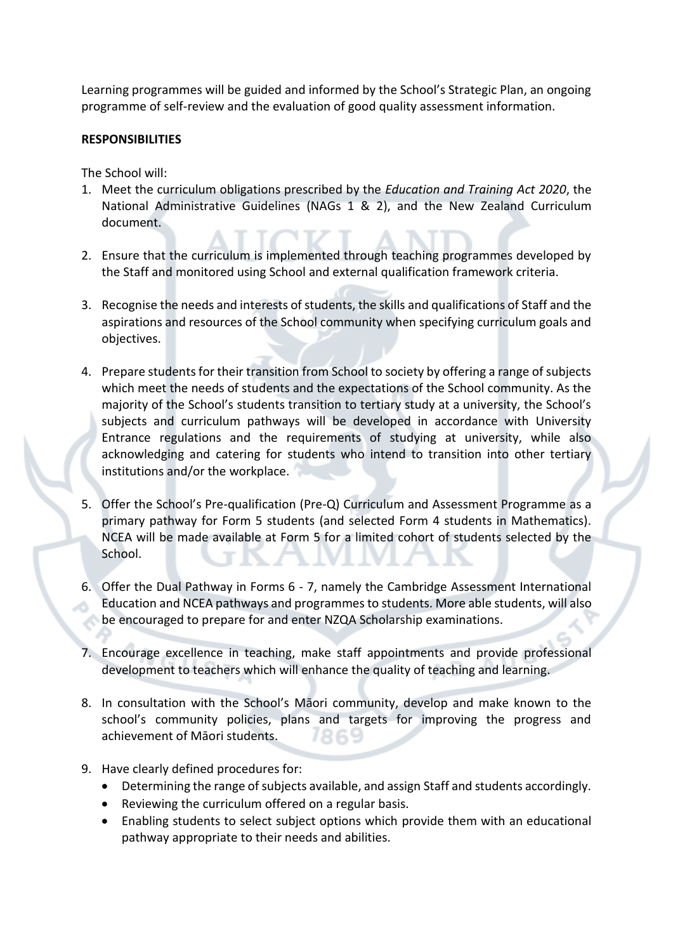Learning programmes will be guided and informed by the School's Strategic Plan, an ongoing programme of self-review and the evaluation of good quality assessment information.

#### **RESPONSIBILITIES**

The School will:

- 1. Meet the curriculum obligations prescribed by the *Education and Training Act 2020*, the National Administrative Guidelines (NAGs 1 & 2), and the New Zealand Curriculum document.
- 2. Ensure that the curriculum is implemented through teaching programmes developed by the Staff and monitored using School and external qualification framework criteria.
- 3. Recognise the needs and interests of students, the skills and qualifications of Staff and the aspirations and resources of the School community when specifying curriculum goals and objectives.
- 4. Prepare students for their transition from School to society by offering a range of subjects which meet the needs of students and the expectations of the School community. As the majority of the School's students transition to tertiary study at a university, the School's subjects and curriculum pathways will be developed in accordance with University Entrance regulations and the requirements of studying at university, while also acknowledging and catering for students who intend to transition into other tertiary institutions and/or the workplace.
- 5. Offer the School's Pre-qualification (Pre-Q) Curriculum and Assessment Programme as a primary pathway for Form 5 students (and selected Form 4 students in Mathematics). NCEA will be made available at Form 5 for a limited cohort of students selected by the School.
- 6. Offer the Dual Pathway in Forms 6 7, namely the Cambridge Assessment International Education and NCEA pathways and programmes to students. More able students, will also be encouraged to prepare for and enter NZQA Scholarship examinations.
- 7. Encourage excellence in teaching, make staff appointments and provide professional development to teachers which will enhance the quality of teaching and learning.
- 8. In consultation with the School's Māori community, develop and make known to the school's community policies, plans and targets for improving the progress and achievement of Māori students.
- 9. Have clearly defined procedures for:
	- Determining the range of subjects available, and assign Staff and students accordingly.
	- Reviewing the curriculum offered on a regular basis.
	- Enabling students to select subject options which provide them with an educational pathway appropriate to their needs and abilities.